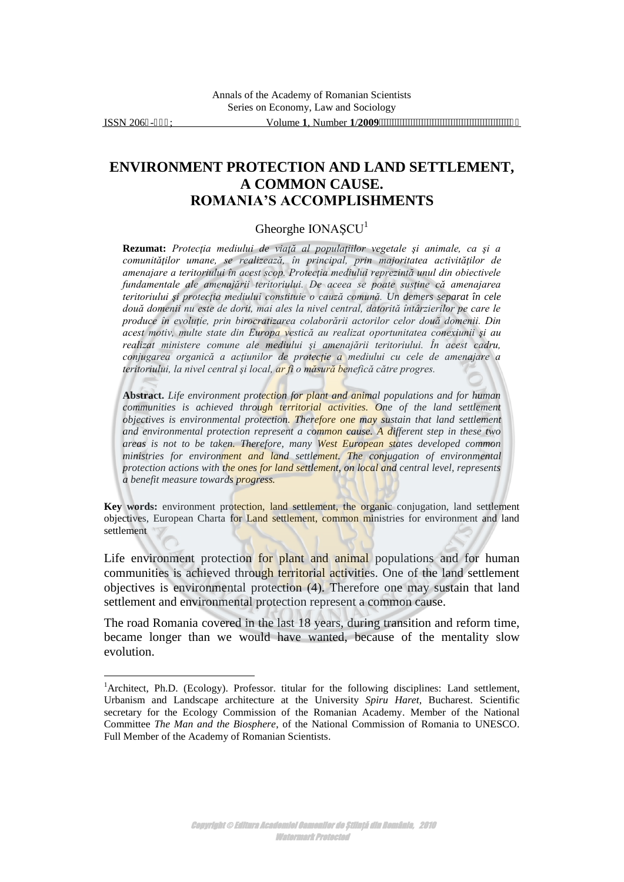$\overline{a}$ 

## **ENVIRONMENT PROTECTION AND LAND SETTLEMENT, A COMMON CAUSE. ROMANIA'S ACCOMPLISHMENTS**

## Gheorghe  $IONASCU<sup>1</sup>$

**Rezumat:** *Protecţia mediului de viaţă al populaţiilor vegetale şi animale, ca şi a comunităţilor umane, se realizează, în principal, prin majoritatea activităţilor de amenajare a teritoriului în acest scop. Protecţia mediului reprezintă unul din obiectivele fundamentale ale amenajării teritoriului. De aceea se poate susţine că amenajarea teritoriului şi protecţia mediului constituie o cauză comună. Un demers separat în cele două domenii nu este de dorit, mai ales la nivel central, datorită întârzierilor pe care le produce în evoluţie, prin birocratizarea colaborării actorilor celor două domenii. Din acest motiv, multe state din Europa vestică au realizat oportunitatea conexiunii şi au realizat ministere comune ale mediului şi amenajării teritoriului. În acest cadru, conjugarea organică a acţiunilor de protecţie a mediului cu cele de amenajare a teritoriului, la nivel central şi local, ar fi o măsură benefică către progres.*

**Abstract.** *Life environment protection for plant and animal populations and for human*  communities is achieved through territorial activities. One of the land settlement *objectives is environmental protection. Therefore one may sustain that land settlement and environmental protection represent a common cause. A different step in these two areas is not to be taken. Therefore, many West European states developed common ministries for environment and land settlement. The conjugation of environmental protection actions with the ones for land settlement, on local and central level, represents a benefit measure towards progress.*

**Key words:** environment protection, land settlement, the organic conjugation, land settlement objectives, European Charta for Land settlement, common ministries for environment and land settlement

Life environment protection for plant and animal populations and for human communities is achieved through territorial activities. One of the land settlement objectives is environmental protection (4). Therefore one may sustain that land settlement and environmental protection represent a common cause.

The road Romania covered in the last 18 years, during transition and reform time, became longer than we would have wanted, because of the mentality slow evolution.

<sup>&</sup>lt;sup>1</sup>Architect, Ph.D. (Ecology). Professor. titular for the following disciplines: Land settlement, Urbanism and Landscape architecture at the University *Spiru Haret*, Bucharest. Scientific secretary for the Ecology Commission of the Romanian Academy. Member of the National Committee *The Man and the Biosphere*, of the National Commission of Romania to UNESCO. Full Member of the Academy of Romanian Scientists.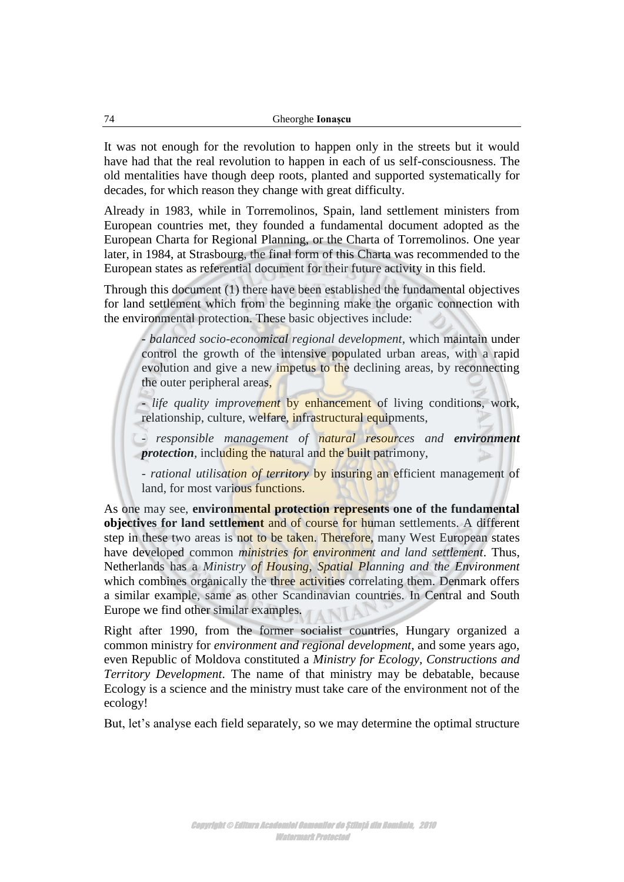It was not enough for the revolution to happen only in the streets but it would have had that the real revolution to happen in each of us self-consciousness. The old mentalities have though deep roots, planted and supported systematically for decades, for which reason they change with great difficulty.

Already in 1983, while in Torremolinos, Spain, land settlement ministers from European countries met, they founded a fundamental document adopted as the European Charta for Regional Planning, or the Charta of Torremolinos. One year later, in 1984, at Strasbourg, the final form of this Charta was recommended to the European states as referential document for their future activity in this field.

Through this document (1) there have been established the fundamental objectives for land settlement which from the beginning make the organic connection with the environmental protection. These basic objectives include:

- *balanced socio-economical regional development*, which maintain under control the growth of the intensive populated urban areas, with a rapid evolution and give a new impetus to the declining areas, by reconnecting the outer peripheral areas,

- *life quality improvement* by enhancement of living conditions, work, relationship, culture, welfare, infrastructural equipments,

- *responsible management of natural resources and environment protection*, including the natural and the built patrimony,

- *rational utilisation of territory* by insuring an efficient management of land, for most various functions.

As one may see, **environmental protection represents one of the fundamental objectives for land settlement** and of course for human settlements. A different step in these two areas is not to be taken. Therefore, many West European states have developed common *ministries for environment and land settlement*. Thus, Netherlands has a *Ministry of Housing, Spatial Planning and the Environment* which combines organically the three activities correlating them. Denmark offers a similar example, same as other Scandinavian countries. In Central and South Europe we find other similar examples.

Right after 1990, from the former socialist countries, Hungary organized a common ministry for *environment and regional development*, and some years ago, even Republic of Moldova constituted a *Ministry for Ecology, Constructions and Territory Development*. The name of that ministry may be debatable, because Ecology is a science and the ministry must take care of the environment not of the ecology!

But, let's analyse each field separately, so we may determine the optimal structure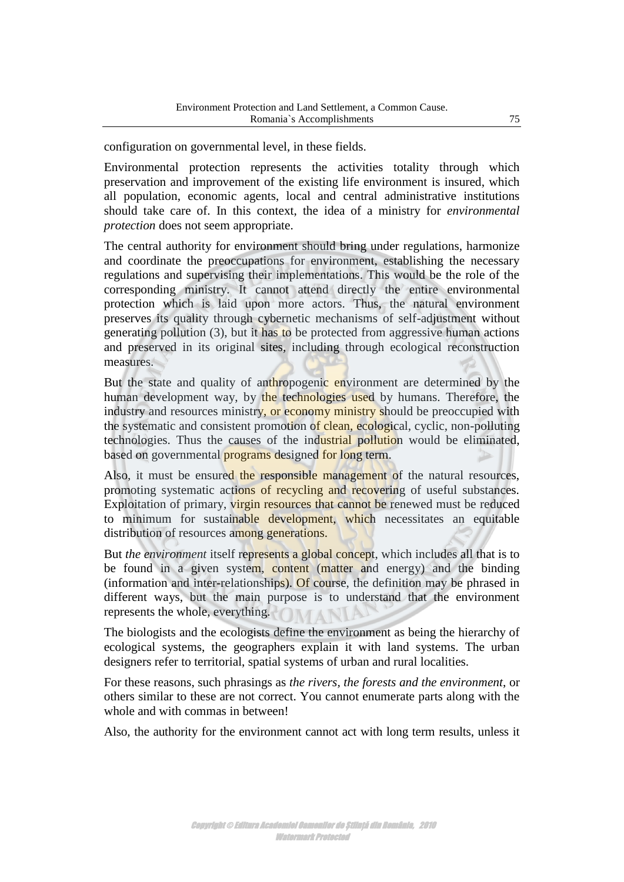configuration on governmental level, in these fields.

Environmental protection represents the activities totality through which preservation and improvement of the existing life environment is insured, which all population, economic agents, local and central administrative institutions should take care of. In this context, the idea of a ministry for *environmental protection* does not seem appropriate.

The central authority for environment should bring under regulations, harmonize and coordinate the preoccupations for environment, establishing the necessary regulations and supervising their implementations. This would be the role of the corresponding ministry. It cannot attend directly the entire environmental protection which is laid upon more actors. Thus, the natural environment preserves its quality through cybernetic mechanisms of self-adjustment without generating pollution (3), but it has to be protected from aggressive human actions and preserved in its original sites, including through ecological reconstruction measures.

But the state and quality of anthropogenic environment are determined by the human development way, by the technologies used by humans. Therefore, the industry and resources ministry, or economy ministry should be preoccupied with the systematic and consistent promotion of clean, ecological, cyclic, non-polluting technologies. Thus the causes of the industrial pollution would be eliminated, based on governmental **programs** designed for long term.

Also, it must be ensured the responsible management of the natural resources, promoting systematic actions of recycling and recovering of useful substances. Exploitation of primary, virgin resources that cannot be renewed must be reduced to minimum for sustainable development, which necessitates an equitable distribution of resources among generations.

But *the environment* itself represents a global concept, which includes all that is to be found in a given system, content (matter and energy) and the binding (information and inter-relationships). Of course, the definition may be phrased in different ways, but the main purpose is to understand that the environment represents the whole, everything.

The biologists and the ecologists define the environment as being the hierarchy of ecological systems, the geographers explain it with land systems. The urban designers refer to territorial, spatial systems of urban and rural localities.

For these reasons, such phrasings as *the rivers, the forests and the environment*, or others similar to these are not correct. You cannot enumerate parts along with the whole and with commas in between!

Also, the authority for the environment cannot act with long term results, unless it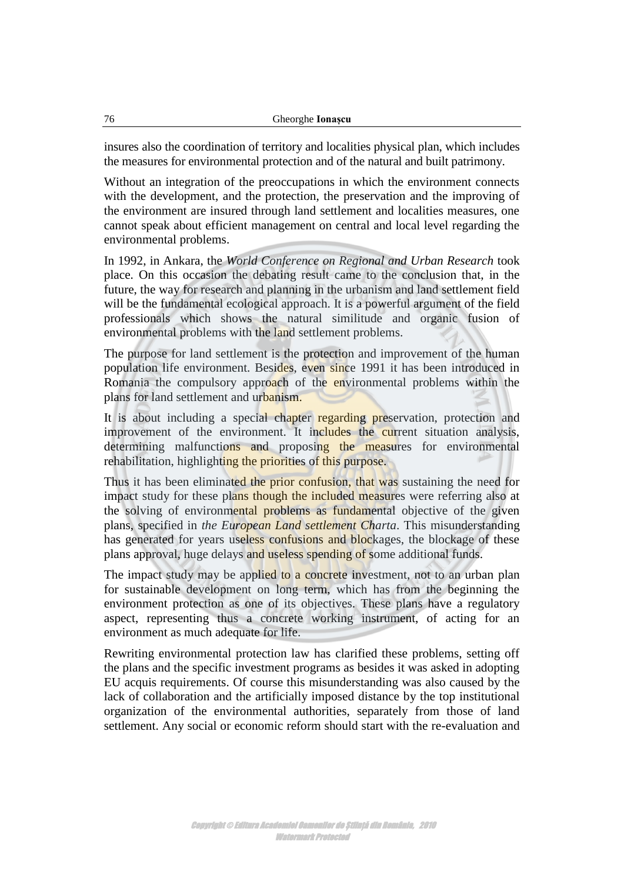insures also the coordination of territory and localities physical plan, which includes the measures for environmental protection and of the natural and built patrimony.

Without an integration of the preoccupations in which the environment connects with the development, and the protection, the preservation and the improving of the environment are insured through land settlement and localities measures, one cannot speak about efficient management on central and local level regarding the environmental problems.

In 1992, in Ankara, the *World Conference on Regional and Urban Research* took place. On this occasion the debating result came to the conclusion that, in the future, the way for research and planning in the urbanism and land settlement field will be the fundamental ecological approach. It is a powerful argument of the field professionals which shows the natural similitude and organic fusion of environmental problems with the land settlement problems.

The purpose for land settlement is the protection and improvement of the human population life environment. Besides, even since 1991 it has been introduced in Romania the compulsory approach of the environmental problems within the plans for land settlement and urbanism.

It is about including a special chapter regarding preservation, protection and improvement of the environment. It includes the current situation analysis, determining malfunctions and proposing the measures for environmental rehabilitation, highlighting the priorities of this purpose.

Thus it has been eliminated the prior confusion, that was sustaining the need for impact study for these plans though the included measures were referring also at the solving of environmental problems as fundamental objective of the given plans, specified in *the European Land settlement Charta*. This misunderstanding has generated for years useless confusions and blockages, the blockage of these plans approval, huge delays and useless spending of some additional funds.

The impact study may be applied to a concrete investment, not to an urban plan for sustainable development on long term, which has from the beginning the environment protection as one of its objectives. These plans have a regulatory aspect, representing thus a concrete working instrument, of acting for an environment as much adequate for life.

Rewriting environmental protection law has clarified these problems, setting off the plans and the specific investment programs as besides it was asked in adopting EU acquis requirements. Of course this misunderstanding was also caused by the lack of collaboration and the artificially imposed distance by the top institutional organization of the environmental authorities, separately from those of land settlement. Any social or economic reform should start with the re-evaluation and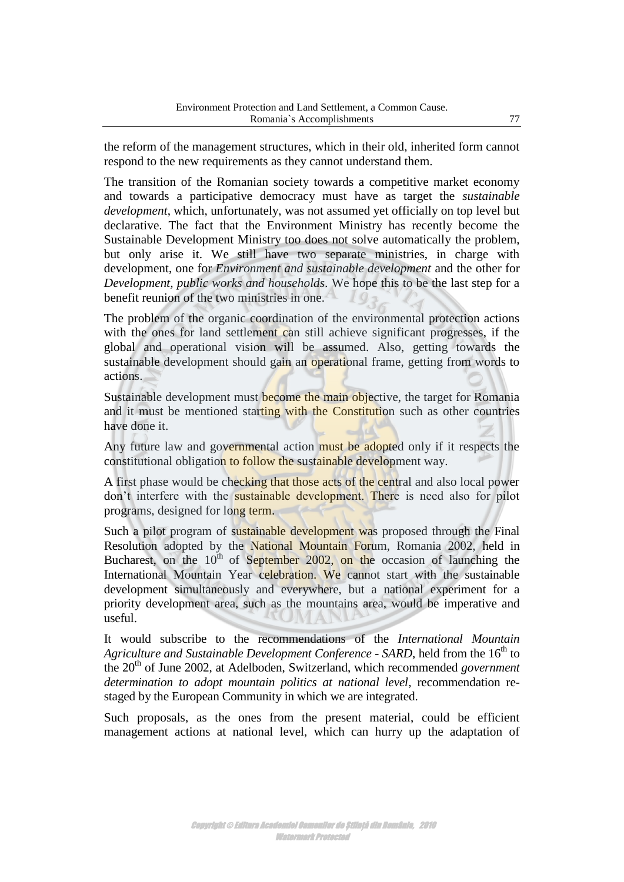the reform of the management structures, which in their old, inherited form cannot respond to the new requirements as they cannot understand them.

The transition of the Romanian society towards a competitive market economy and towards a participative democracy must have as target the *sustainable development*, which, unfortunately, was not assumed yet officially on top level but declarative. The fact that the Environment Ministry has recently become the Sustainable Development Ministry too does not solve automatically the problem, but only arise it. We still have two separate ministries, in charge with development, one for *Environment and sustainable development* and the other for *Development, public works and households*. We hope this to be the last step for a benefit reunion of the two ministries in one.

The problem of the organic coordination of the environmental protection actions with the ones for land settlement can still achieve significant progresses, if the global and operational vision will be assumed. Also, getting towards the sustainable development should gain an operational frame, getting from words to actions.

Sustainable development must become the main objective, the target for Romania and it must be mentioned starting with the Constitution such as other countries have done it.

Any future law and governmental action must be adopted only if it respects the constitutional obligation to follow the sustainable development way.

A first phase would be checking that those acts of the central and also local power don't interfere with the sustainable development. There is need also for pilot programs, designed for long term.

Such a pilot program of sustainable development was proposed through the Final Resolution adopted by the National Mountain Forum, Romania 2002, held in Bucharest, on the 10<sup>th</sup> of September 2002, on the occasion of launching the International Mountain Year celebration. We cannot start with the sustainable development simultaneously and everywhere, but a national experiment for a priority development area, such as the mountains area, would be imperative and useful.

It would subscribe to the recommendations of the *International Mountain Agriculture and Sustainable Development Conference - SARD*, held from the 16<sup>th</sup> to the 20<sup>th</sup> of June 2002, at Adelboden, Switzerland, which recommended *government determination to adopt mountain politics at national level*, recommendation restaged by the European Community in which we are integrated.

Such proposals, as the ones from the present material, could be efficient management actions at national level, which can hurry up the adaptation of